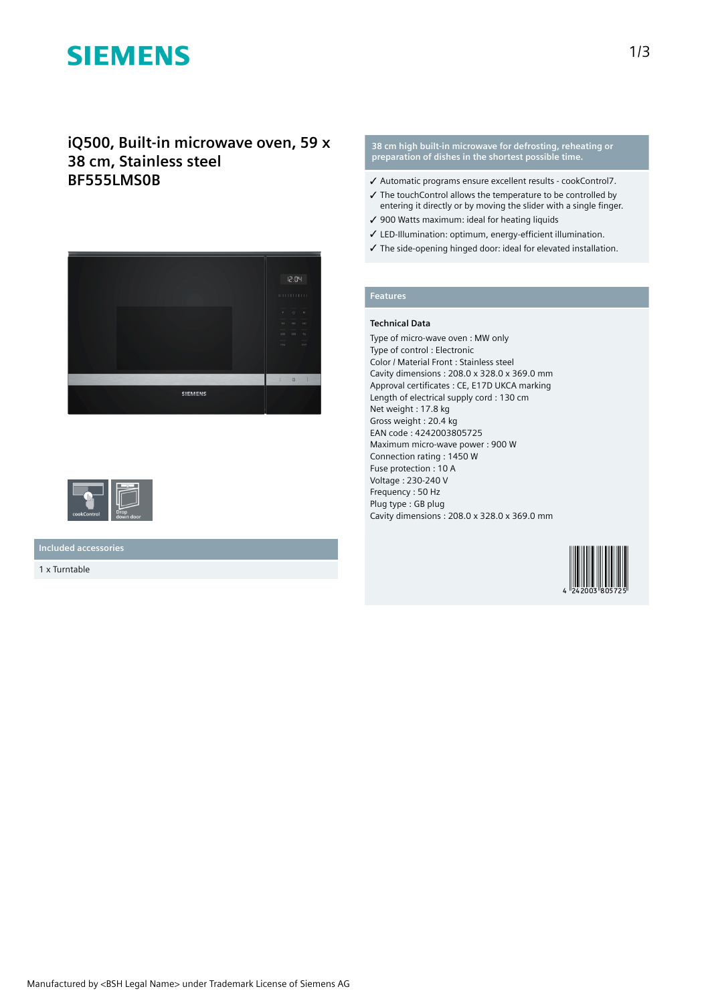# **SIEMENS**

# **iQ500, Built-in microwave oven, 59 x 38 cm, Stainless steel BF555LMS0B**





**Included accessories**

1 x Turntable

#### **38 cm high built-in microwave for defrosting, reheating or preparation of dishes in the shortest possible time.**

- ✓ Automatic programs ensure excellent results cookControl7.
- ✓ The touchControl allows the temperature to be controlled by entering it directly or by moving the slider with a single finger.
- ✓ 900 Watts maximum: ideal for heating liquids
- ✓ LED-Illumination: optimum, energy-efficient illumination.
- ✓ The side-opening hinged door: ideal for elevated installation.

# **Features**

### **Technical Data**

Type of micro-wave oven : MW only Type of control : Electronic Color / Material Front : Stainless steel Cavity dimensions : 208.0 x 328.0 x 369.0 mm Approval certificates : CE, E17D UKCA marking Length of electrical supply cord : 130 cm Net weight : 17.8 kg Gross weight : 20.4 kg EAN code : 4242003805725 Maximum micro-wave power : 900 W Connection rating : 1450 W Fuse protection : 10 A Voltage : 230-240 V Frequency : 50 Hz Plug type : GB plug Cavity dimensions : 208.0 x 328.0 x 369.0 mm

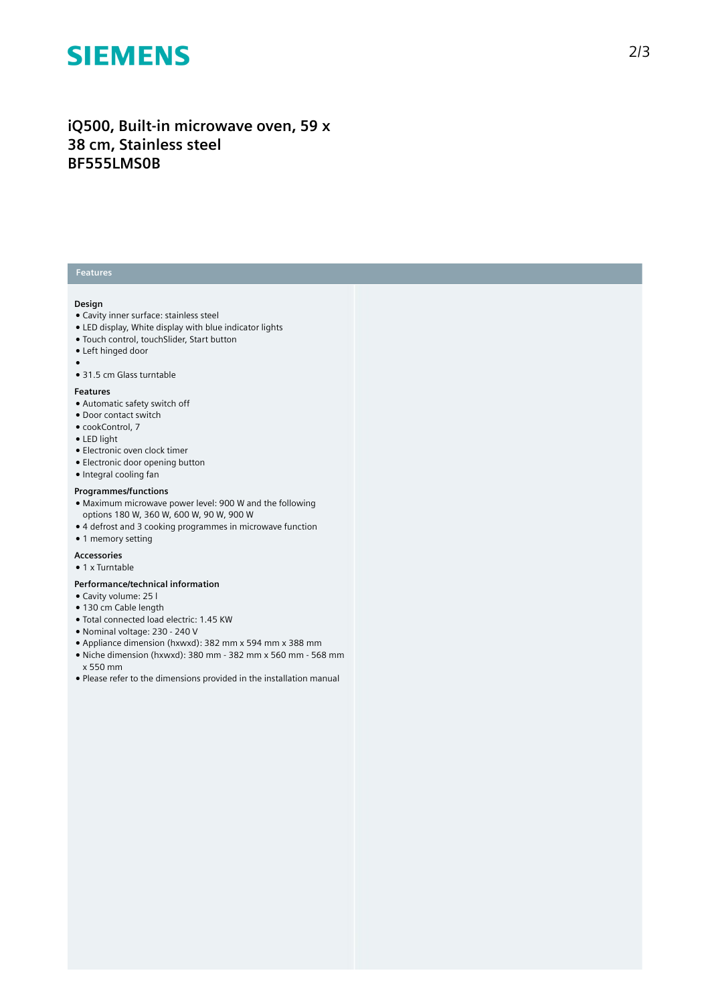# **SIEMENS**

# **iQ500, Built-in microwave oven, 59 x 38 cm, Stainless steel BF555LMS0B**

# **Features**

### **Design**

- Cavity inner surface: stainless steel
- LED display, White display with blue indicator lights
- Touch control, touchSlider, Start button
- Left hinged door  $\bullet$
- 31.5 cm Glass turntable

#### **Features**

- Automatic safety switch off
- Door contact switch
- cookControl, 7
- LED light
- Electronic oven clock timer
- Electronic door opening button
- Integral cooling fan

## **Programmes/functions**

- Maximum microwave power level: 900 W and the following options 180 W, 360 W, 600 W, 90 W, 900 W
- 4 defrost and 3 cooking programmes in microwave function
- 1 memory setting

## **Accessories**

● 1 x Turntable

## **Performance/technical information**

- Cavity volume: 25 l
- 130 cm Cable length
- Total connected load electric: 1.45 KW
- Nominal voltage: 230 240 V
- Appliance dimension (hxwxd): 382 mm x 594 mm x 388 mm
- Niche dimension (hxwxd): 380 mm 382 mm x 560 mm 568 mm x 550 mm
- Please refer to the dimensions provided in the installation manual